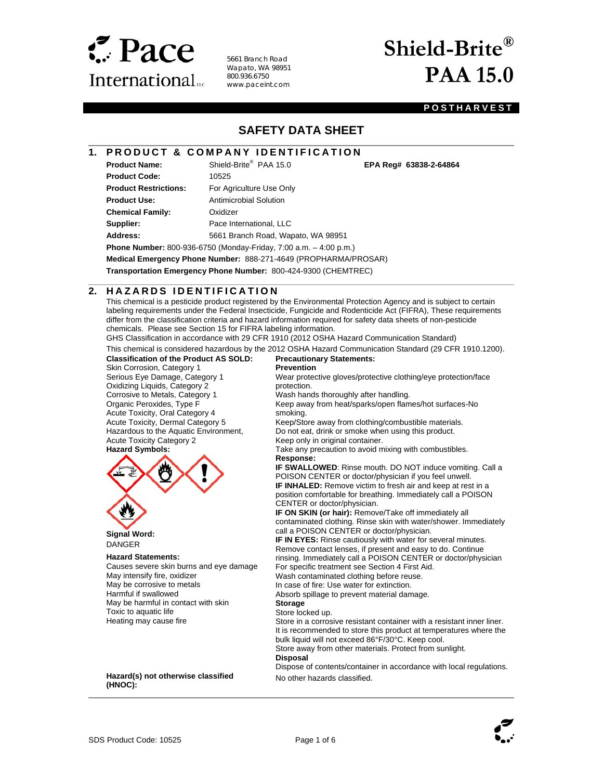

5661 Branch Road Wapato, WA 98951 800.936.6750 www.paceint.com

# **Shield-Brite® PAA 15.0**

PAA 15.0 **EPA Reg# 63838-2-64864** 

### **POSTHARVEST**

# **SAFETY DATA SHEET**

## **1. PRODUCT & COMPANY IDENTIFICATION**

**Product Code:** 10525 **Product Restrictions:** For Agriculture Use Only **Product Use:** Antimicrobial Solution **Chemical Family:** Oxidizer

l

**Product Name:** Shield-Brite® PAA 15.0

**Supplier:** Pace International, LLC

**Address:** 5661 Branch Road, Wapato, WA 98951 **Phone Number:** 800-936-6750 (Monday-Friday, 7:00 a.m. – 4:00 p.m.)

**Medical Emergency Phone Number:** 888-271-4649 (PROPHARMA/PROSAR)

**Transportation Emergency Phone Number:** 800-424-9300 (CHEMTREC)

#### $\overline{a}$ **2. HAZARDS IDENTIFICATION**

This chemical is a pesticide product registered by the Environmental Protection Agency and is subject to certain labeling requirements under the Federal Insecticide, Fungicide and Rodenticide Act (FIFRA), These requirements differ from the classification criteria and hazard information required for safety data sheets of non-pesticide chemicals. Please see Section 15 for FIFRA labeling information.

GHS Classification in accordance with 29 CFR 1910 (2012 OSHA Hazard Communication Standard)

This chemical is considered hazardous by the 2012 OSHA Hazard Communication Standard (29 CFR 1910.1200).

## **Classification of the Product AS SOLD:**

Skin Corrosion, Category 1 Serious Eye Damage, Category 1 Oxidizing Liquids, Category 2 Corrosive to Metals, Category 1 Organic Peroxides, Type F Acute Toxicity, Oral Category 4 Acute Toxicity, Dermal Category 5 Hazardous to the Aquatic Environment, Acute Toxicity Category 2 **Hazard Symbols:**



 **Signal Word:**  DANGER

#### **Hazard Statements:**

Causes severe skin burns and eye damage May intensify fire, oxidizer May be corrosive to metals Harmful if swallowed May be harmful in contact with skin Toxic to aquatic life Heating may cause fire

#### **Hazard(s) not otherwise classified (HNOC):**

#### **Precautionary Statements: Prevention**

Wear protective gloves/protective clothing/eye protection/face protection.

Wash hands thoroughly after handling.

Keep away from heat/sparks/open flames/hot surfaces-No smoking.

Keep/Store away from clothing/combustible materials. Do not eat, drink or smoke when using this product.

Keep only in original container.

Take any precaution to avoid mixing with combustibles. **Response:** 

**IF SWALLOWED**: Rinse mouth. DO NOT induce vomiting. Call a POISON CENTER or doctor/physician if you feel unwell. **IF INHALED:** Remove victim to fresh air and keep at rest in a position comfortable for breathing. Immediately call a POISON CENTER or doctor/physician.

**IF ON SKIN (or hair):** Remove/Take off immediately all contaminated clothing. Rinse skin with water/shower. Immediately call a POISON CENTER or doctor/physician.

**IF IN EYES:** Rinse cautiously with water for several minutes. Remove contact lenses, if present and easy to do. Continue rinsing. Immediately call a POISON CENTER or doctor/physician

For specific treatment see Section 4 First Aid.

Wash contaminated clothing before reuse. In case of fire: Use water for extinction.

Absorb spillage to prevent material damage.

**Storage** 

#### Store locked up.

Store in a corrosive resistant container with a resistant inner liner. It is recommended to store this product at temperatures where the bulk liquid will not exceed 86°F/30°C. Keep cool. Store away from other materials. Protect from sunlight. **Disposal** 

Dispose of contents/container in accordance with local regulations. No other hazards classified.

 $\overline{\phantom{a}}$ 

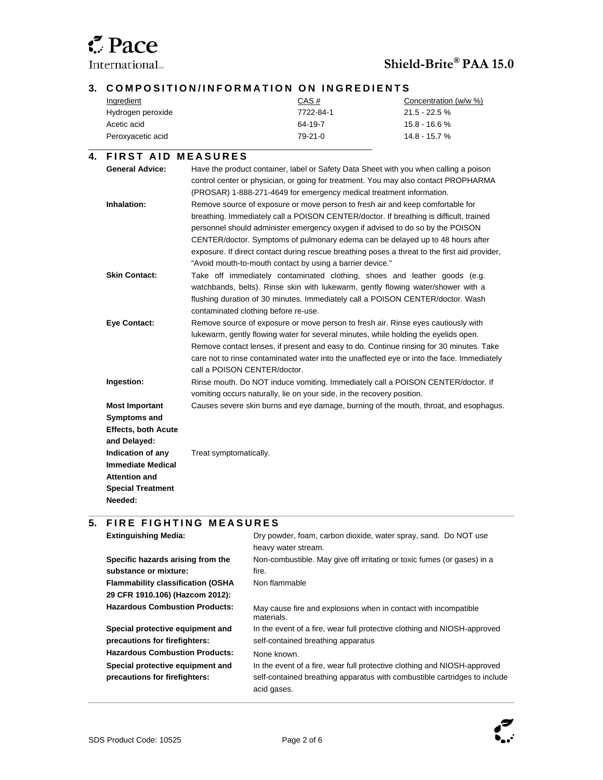

l

l

 $\overline{\phantom{a}}$ 

International...<br> **Shield-Brite® PAA 15.0** 

### **3. COMPOSITION/INFORMATION ON INGREDIENTS**

| Ingredient        | CAS#      | Concentration (w/w %) |
|-------------------|-----------|-----------------------|
| Hydrogen peroxide | 7722-84-1 | $21.5 - 22.5 \%$      |
| Acetic acid       | 64-19-7   | $15.8 - 16.6 %$       |
| Peroxyacetic acid | $79-21-0$ | $14.8 - 15.7 %$       |

#### **4. FIRST AID MEASURES General Advice:** Have the product container, label or Safety Data Sheet with you when calling a poison control center or physician, or going for treatment. You may also contact PROPHARMA (PROSAR) 1-888-271-4649 for emergency medical treatment information. **Inhalation:** Remove source of exposure or move person to fresh air and keep comfortable for breathing. Immediately call a POISON CENTER/doctor. If breathing is difficult, trained personnel should administer emergency oxygen if advised to do so by the POISON CENTER/doctor. Symptoms of pulmonary edema can be delayed up to 48 hours after exposure. If direct contact during rescue breathing poses a threat to the first aid provider, "Avoid mouth-to-mouth contact by using a barrier device." **Skin Contact:** Take off immediately contaminated clothing, shoes and leather goods (e.g. watchbands, belts). Rinse skin with lukewarm, gently flowing water/shower with a flushing duration of 30 minutes. Immediately call a POISON CENTER/doctor. Wash contaminated clothing before re-use. **Eye Contact:** Remove source of exposure or move person to fresh air. Rinse eyes cautiously with lukewarm, gently flowing water for several minutes, while holding the eyelids open. Remove contact lenses, if present and easy to do. Continue rinsing for 30 minutes. Take care not to rinse contaminated water into the unaffected eye or into the face. Immediately call a POISON CENTER/doctor. **Ingestion:** Rinse mouth. Do NOT induce vomiting. Immediately call a POISON CENTER/doctor. If vomiting occurs naturally, lie on your side, in the recovery position. **Most Important Symptoms and Effects, both Acute and Delayed:**  Causes severe skin burns and eye damage, burning of the mouth, throat, and esophagus. **Indication of any Immediate Medical Attention and Special Treatment Needed:**  Treat symptomatically.

#### **5. FIRE FIGHTING MEASURES**

| <b>Extinguishing Media:</b>              | Dry powder, foam, carbon dioxide, water spray, sand. Do NOT use               |
|------------------------------------------|-------------------------------------------------------------------------------|
|                                          | heavy water stream.                                                           |
| Specific hazards arising from the        | Non-combustible. May give off irritating or toxic fumes (or gases) in a       |
| substance or mixture:                    | fire.                                                                         |
| <b>Flammability classification (OSHA</b> | Non flammable                                                                 |
| 29 CFR 1910.106) (Hazcom 2012):          |                                                                               |
| <b>Hazardous Combustion Products:</b>    | May cause fire and explosions when in contact with incompatible<br>materials. |
| Special protective equipment and         | In the event of a fire, wear full protective clothing and NIOSH-approved      |
| precautions for firefighters:            | self-contained breathing apparatus                                            |
| <b>Hazardous Combustion Products:</b>    | None known.                                                                   |
| Special protective equipment and         | In the event of a fire, wear full protective clothing and NIOSH-approved      |
| precautions for firefighters:            | self-contained breathing apparatus with combustible cartridges to include     |
|                                          | acid gases.                                                                   |

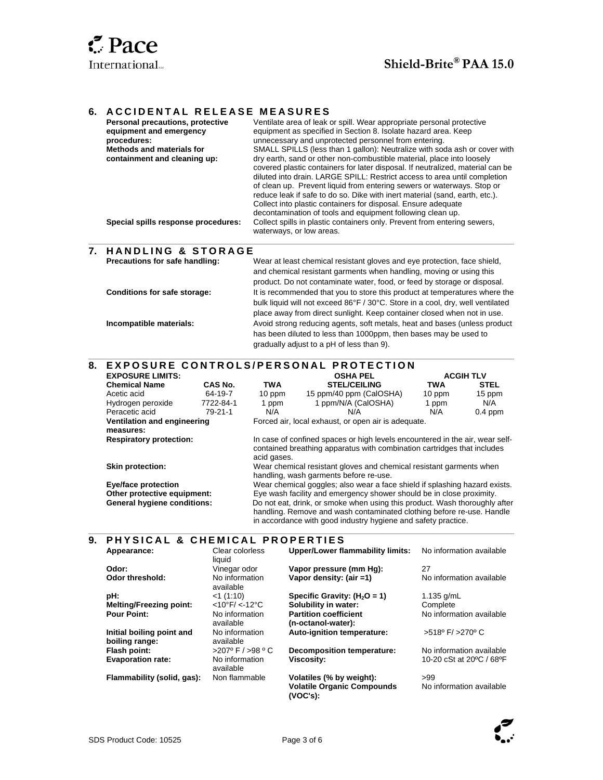$\overline{\phantom{a}}$ 

l

## **6. ACCIDENTAL RELEASE MEASURES**

| Personal precautions, protective<br>equipment and emergency<br>procedures:<br>Methods and materials for<br>containment and cleaning up: | Ventilate area of leak or spill. Wear appropriate personal protective<br>equipment as specified in Section 8. Isolate hazard area. Keep<br>unnecessary and unprotected personnel from entering.<br>SMALL SPILLS (less than 1 gallon): Neutralize with soda ash or cover with<br>dry earth, sand or other non-combustible material, place into loosely<br>covered plastic containers for later disposal. If neutralized, material can be<br>diluted into drain. LARGE SPILL: Restrict access to area until completion<br>of clean up. Prevent liquid from entering sewers or waterways. Stop or<br>reduce leak if safe to do so. Dike with inert material (sand, earth, etc.).<br>Collect into plastic containers for disposal. Ensure adequate<br>decontamination of tools and equipment following clean up. |
|-----------------------------------------------------------------------------------------------------------------------------------------|--------------------------------------------------------------------------------------------------------------------------------------------------------------------------------------------------------------------------------------------------------------------------------------------------------------------------------------------------------------------------------------------------------------------------------------------------------------------------------------------------------------------------------------------------------------------------------------------------------------------------------------------------------------------------------------------------------------------------------------------------------------------------------------------------------------|
| Special spills response procedures:                                                                                                     | Collect spills in plastic containers only. Prevent from entering sewers,<br>waterways, or low areas.                                                                                                                                                                                                                                                                                                                                                                                                                                                                                                                                                                                                                                                                                                         |
| 7. HANDLING & STORAGE                                                                                                                   |                                                                                                                                                                                                                                                                                                                                                                                                                                                                                                                                                                                                                                                                                                                                                                                                              |
| Precautions for safe handling:                                                                                                          | Wear at least chemical resistant gloves and eye protection, face shield,<br>and chemical resistant garments when handling, moving or using this<br>product. Do not contaminate water, food, or feed by storage or disposal.                                                                                                                                                                                                                                                                                                                                                                                                                                                                                                                                                                                  |
| <b>Conditions for safe storage:</b>                                                                                                     | It is recommended that you to store this product at temperatures where the<br>bulk liquid will not exceed 86°F / 30°C. Store in a cool, dry, well ventilated                                                                                                                                                                                                                                                                                                                                                                                                                                                                                                                                                                                                                                                 |

bulk liquid will not exceed 86°F / 30°C. Store in a cool, dry, well ventilated place away from direct sunlight. Keep container closed when not in use. **Incompatible materials:** Avoid strong reducing agents, soft metals, heat and bases (unless product has been diluted to less than 1000ppm, then bases may be used to gradually adjust to a pH of less than 9).

# **8. E X P O S U R E C O N T R O L S / P E R S O N A L P R O T E C T I O N**

| <b>EXPOSURE LIMITS:</b>            |           |             | <b>OSHA PEL</b>                                                                                                                                         |            | <b>ACGIH TLV</b> |
|------------------------------------|-----------|-------------|---------------------------------------------------------------------------------------------------------------------------------------------------------|------------|------------------|
| <b>Chemical Name</b>               | CAS No.   | <b>TWA</b>  | <b>STEL/CEILING</b>                                                                                                                                     | <b>TWA</b> | <b>STEL</b>      |
| Acetic acid                        | 64-19-7   | 10 ppm      | 15 ppm/40 ppm (CalOSHA)                                                                                                                                 | 10 ppm     | 15 ppm           |
| Hydrogen peroxide                  | 7722-84-1 | 1 ppm       | 1 ppm/N/A (CalOSHA)                                                                                                                                     | 1 ppm      | N/A              |
| Peracetic acid                     | 79-21-1   | N/A         | N/A                                                                                                                                                     | N/A        | $0.4$ ppm        |
| Ventilation and engineering        |           |             | Forced air, local exhaust, or open air is adequate.                                                                                                     |            |                  |
| measures:                          |           |             |                                                                                                                                                         |            |                  |
| <b>Respiratory protection:</b>     |           | acid gases. | In case of confined spaces or high levels encountered in the air, wear self-<br>contained breathing apparatus with combination cartridges that includes |            |                  |
| Skin protection:                   |           |             | Wear chemical resistant gloves and chemical resistant garments when<br>handling, wash garments before re-use.                                           |            |                  |
| <b>Eye/face protection</b>         |           |             | Wear chemical goggles; also wear a face shield if splashing hazard exists.                                                                              |            |                  |
| Other protective equipment:        |           |             | Eye wash facility and emergency shower should be in close proximity.                                                                                    |            |                  |
| <b>General hygiene conditions:</b> |           |             | Do not eat, drink, or smoke when using this product. Wash thoroughly after<br>handling. Remove and wash contaminated clothing before re-use. Handle     |            |                  |

in accordance with good industry hygiene and safety practice.

#### **9. PHYSICAL & CHEMICAL PROPERTIES**

| Appearance:                                 | Clear colorless<br>liquid             | <b>Upper/Lower flammability limits:</b>                                   | No information available           |
|---------------------------------------------|---------------------------------------|---------------------------------------------------------------------------|------------------------------------|
| Odor:                                       | Vinegar odor                          | Vapor pressure (mm Hq):                                                   | 27                                 |
| Odor threshold:                             | No information<br>available           | Vapor density: (air =1)                                                   | No information available           |
| pH:                                         | $<$ 1 (1:10)                          | Specific Gravity: $(H2O = 1)$                                             | 1.135 $q/mL$                       |
| <b>Melting/Freezing point:</b>              | $<10^{\circ}$ F/ $<$ -12 $^{\circ}$ C | Solubility in water:                                                      | Complete                           |
| <b>Pour Point:</b>                          | No information                        | <b>Partition coefficient</b>                                              | No information available           |
|                                             | available                             | (n-octanol-water):                                                        |                                    |
| Initial boiling point and<br>boiling range: | No information<br>available           | Auto-ignition temperature:                                                | $>518^{\circ}$ F/ $>270^{\circ}$ C |
| Flash point:                                | $>207^{\circ}$ F / $>98^{\circ}$ C    | Decomposition temperature:                                                | No information available           |
| <b>Evaporation rate:</b>                    | No information<br>available           | Viscosity:                                                                | 10-20 cSt at 20°C / 68°F           |
| Flammability (solid, gas):                  | Non flammable                         | Volatiles (% by weight):<br><b>Volatile Organic Compounds</b><br>(VOC's): | >99<br>No information available    |

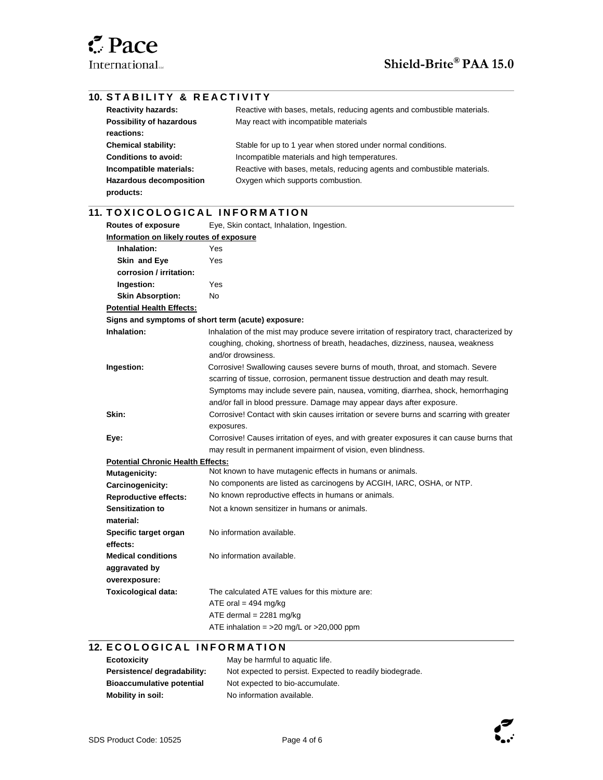#### l **10. STABILITY & REACTIVITY Reactivity hazards:** Reactive with bases, metals, reducing agents and combustible materials. **Possibility of hazardous reactions:**  May react with incompatible materials **Chemical stability:** Stable for up to 1 year when stored under normal conditions. **Conditions to avoid:** Incompatible materials and high temperatures. **Incompatible materials:** Reactive with bases, metals, reducing agents and combustible materials. **Hazardous decomposition products:**  Oxygen which supports combustion.  $\overline{\phantom{a}}$ 11. TOXICOLOGICAL INFORMATION **Routes of exposure** Eye, Skin contact, Inhalation, Ingestion. **Information on likely routes of exposure Inhalation:** Yes  **Skin and Eye corrosion / irritation:**  Yes  **Ingestion:** Yes  **Skin Absorption:** No **Potential Health Effects: Signs and symptoms of short term (acute) exposure: Inhalation:** Inhalation of the mist may produce severe irritation of respiratory tract, characterized by coughing, choking, shortness of breath, headaches, dizziness, nausea, weakness and/or drowsiness. **Ingestion:** Corrosive! Swallowing causes severe burns of mouth, throat, and stomach. Severe scarring of tissue, corrosion, permanent tissue destruction and death may result. Symptoms may include severe pain, nausea, vomiting, diarrhea, shock, hemorrhaging and/or fall in blood pressure. Damage may appear days after exposure. **Skin:** Corrosive! Contact with skin causes irritation or severe burns and scarring with greater exposures. **Eye:** Corrosive! Causes irritation of eyes, and with greater exposures it can cause burns that may result in permanent impairment of vision, even blindness. **Potential Chronic Health Effects: Mutagenicity:** Not known to have mutagenic effects in humans or animals. **Carcinogenicity:** No components are listed as carcinogens by ACGIH, IARC, OSHA, or NTP. **Reproductive effects:** No known reproductive effects in humans or animals. **Sensitization to material:**  Not a known sensitizer in humans or animals. **Specific target organ effects:**  No information available. **Medical conditions aggravated by overexposure:**  No information available. **Toxicological data:** The calculated ATE values for this mixture are: ATE oral  $= 494$  mg/kg ATE dermal  $= 2281$  mg/kg ATE inhalation =  $>20$  mg/L or  $>20,000$  ppm  $\overline{\phantom{a}}$

# **12. ECOLOGICAL INFORMATION**

| Ecotoxicity                      | May be harmful to aquatic life.                          |
|----------------------------------|----------------------------------------------------------|
| Persistence/ degradability:      | Not expected to persist. Expected to readily biodegrade. |
| <b>Bioaccumulative potential</b> | Not expected to bio-accumulate.                          |
| <b>Mobility in soil:</b>         | No information available.                                |

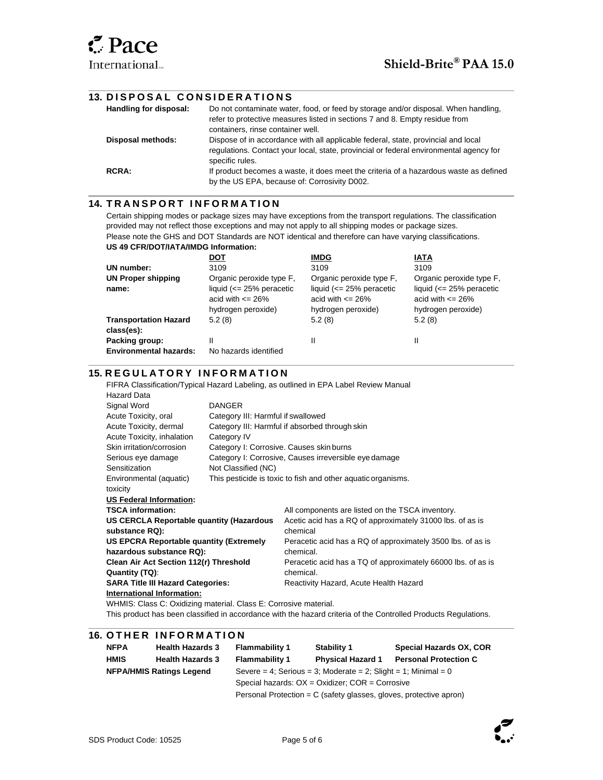l

 $\overline{\phantom{a}}$ 

l

 $\overline{\phantom{a}}$ 

#### **13. D I S P O S A L C O N S I D E R A T I O N S**

| Handling for disposal: | Do not contaminate water, food, or feed by storage and/or disposal. When handling,<br>refer to protective measures listed in sections 7 and 8. Empty residue from |
|------------------------|-------------------------------------------------------------------------------------------------------------------------------------------------------------------|
|                        | containers, rinse container well.                                                                                                                                 |
| Disposal methods:      | Dispose of in accordance with all applicable federal, state, provincial and local                                                                                 |
|                        | regulations. Contact your local, state, provincial or federal environmental agency for<br>specific rules.                                                         |
| <b>RCRA:</b>           | If product becomes a waste, it does meet the criteria of a hazardous waste as defined                                                                             |
|                        | by the US EPA, because of: Corrosivity D002.                                                                                                                      |

#### **14. TRANSPORT INFORMATION**

Certain shipping modes or package sizes may have exceptions from the transport regulations. The classification provided may not reflect those exceptions and may not apply to all shipping modes or package sizes. Please note the GHS and DOT Standards are NOT identical and therefore can have varying classifications. **US 49 CFR/DOT/IATA/IMDG Information:** 

|                               | DOT                         | <b>IMDG</b>                 | IATA                        |
|-------------------------------|-----------------------------|-----------------------------|-----------------------------|
| UN number:                    | 3109                        | 3109                        | 3109                        |
| <b>UN Proper shipping</b>     | Organic peroxide type F.    | Organic peroxide type F.    | Organic peroxide type F,    |
| name:                         | liquid $\leq$ 25% peracetic | liquid $\leq$ 25% peracetic | liquid $\leq$ 25% peracetic |
|                               | acid with $\leq$ 26%        | acid with $\leq$ 26%        | acid with $\leq$ 26%        |
|                               | hydrogen peroxide)          | hydrogen peroxide)          | hydrogen peroxide)          |
| <b>Transportation Hazard</b>  | 5.2(8)                      | 5.2(8)                      | 5.2(8)                      |
| class(es):                    |                             |                             |                             |
| Packing group:                | Ш                           |                             | Ш                           |
| <b>Environmental hazards:</b> | No hazards identified       |                             |                             |

## **15. REGULATORY INFORMATION**

FIFRA Classification/Typical Hazard Labeling, as outlined in EPA Label Review Manual

| <b>Hazard Data</b>                                               |                                    |                                                              |  |  |
|------------------------------------------------------------------|------------------------------------|--------------------------------------------------------------|--|--|
| Signal Word                                                      | <b>DANGER</b>                      |                                                              |  |  |
| Acute Toxicity, oral                                             | Category III: Harmful if swallowed |                                                              |  |  |
| Acute Toxicity, dermal                                           |                                    | Category III: Harmful if absorbed through skin               |  |  |
| Acute Toxicity, inhalation                                       | Category IV                        |                                                              |  |  |
| Skin irritation/corrosion                                        |                                    | Category I: Corrosive. Causes skin burns                     |  |  |
| Serious eye damage                                               |                                    | Category I: Corrosive, Causes irreversible eye damage        |  |  |
| Sensitization                                                    | Not Classified (NC)                |                                                              |  |  |
| Environmental (aquatic)                                          |                                    | This pesticide is toxic to fish and other aquatic organisms. |  |  |
| toxicity                                                         |                                    |                                                              |  |  |
| <b>US Federal Information:</b>                                   |                                    |                                                              |  |  |
| <b>TSCA information:</b>                                         |                                    | All components are listed on the TSCA inventory.             |  |  |
| US CERCLA Reportable quantity (Hazardous                         |                                    | Acetic acid has a RQ of approximately 31000 lbs. of as is    |  |  |
| substance RQ):                                                   |                                    | chemical                                                     |  |  |
| US EPCRA Reportable quantity (Extremely                          |                                    | Peracetic acid has a RQ of approximately 3500 lbs. of as is  |  |  |
| hazardous substance RQ):                                         |                                    | chemical.                                                    |  |  |
| Clean Air Act Section 112(r) Threshold                           |                                    | Peracetic acid has a TQ of approximately 66000 lbs. of as is |  |  |
| Quantity (TQ):                                                   |                                    | chemical.                                                    |  |  |
| <b>SARA Title III Hazard Categories:</b>                         |                                    | Reactivity Hazard, Acute Health Hazard                       |  |  |
| International Information:                                       |                                    |                                                              |  |  |
| WHMIS: Class C: Oxidizing material. Class E: Corrosive material. |                                    |                                                              |  |  |

This product has been classified in accordance with the hazard criteria of the Controlled Products Regulations.

#### **16. OTHER INFORMATION**

|                                 | <b>NFPA</b> | <b>Health Hazards 3</b>                                        | <b>Flammability 1</b>                                              | <b>Stability 1</b>       | Special Hazards OX, COR      |
|---------------------------------|-------------|----------------------------------------------------------------|--------------------------------------------------------------------|--------------------------|------------------------------|
|                                 | <b>HMIS</b> | <b>Health Hazards 3</b>                                        | <b>Flammability 1</b>                                              | <b>Physical Hazard 1</b> | <b>Personal Protection C</b> |
| <b>NFPA/HMIS Ratings Legend</b> |             | Severe = 4; Serious = 3; Moderate = 2; Slight = 1; Minimal = 0 |                                                                    |                          |                              |
|                                 |             | Special hazards: $OX = Oxidizer$ ; $COR = Corrosive$           |                                                                    |                          |                              |
|                                 |             |                                                                | Personal Protection = C (safety glasses, gloves, protective apron) |                          |                              |